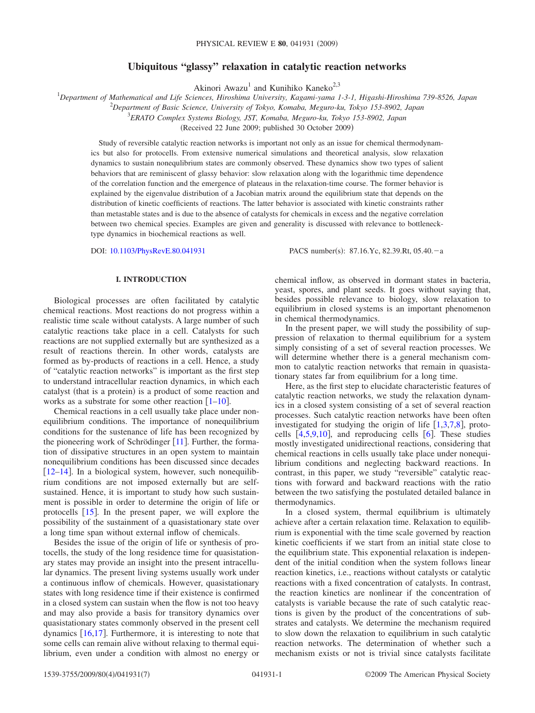# **Ubiquitous "glassy" relaxation in catalytic reaction networks**

Akinori Awazu<sup>1</sup> and Kunihiko Kaneko<sup>2,3</sup>

1 *Department of Mathematical and Life Sciences, Hiroshima University, Kagami-yama 1-3-1, Higashi-Hiroshima 739-8526, Japan*

2 *Department of Basic Science, University of Tokyo, Komaba, Meguro-ku, Tokyo 153-8902, Japan*

3 *ERATO Complex Systems Biology, JST, Komaba, Meguro-ku, Tokyo 153-8902, Japan*

(Received 22 June 2009; published 30 October 2009)

Study of reversible catalytic reaction networks is important not only as an issue for chemical thermodynamics but also for protocells. From extensive numerical simulations and theoretical analysis, slow relaxation dynamics to sustain nonequlibrium states are commonly observed. These dynamics show two types of salient behaviors that are reminiscent of glassy behavior: slow relaxation along with the logarithmic time dependence of the correlation function and the emergence of plateaus in the relaxation-time course. The former behavior is explained by the eigenvalue distribution of a Jacobian matrix around the equilibrium state that depends on the distribution of kinetic coefficients of reactions. The latter behavior is associated with kinetic constraints rather than metastable states and is due to the absence of catalysts for chemicals in excess and the negative correlation between two chemical species. Examples are given and generality is discussed with relevance to bottlenecktype dynamics in biochemical reactions as well.

DOI: [10.1103/PhysRevE.80.041931](http://dx.doi.org/10.1103/PhysRevE.80.041931)

PACS number(s): 87.16.Yc, 82.39.Rt, 05.40.-a

## **I. INTRODUCTION**

Biological processes are often facilitated by catalytic chemical reactions. Most reactions do not progress within a realistic time scale without catalysts. A large number of such catalytic reactions take place in a cell. Catalysts for such reactions are not supplied externally but are synthesized as a result of reactions therein. In other words, catalysts are formed as by-products of reactions in a cell. Hence, a study of "catalytic reaction networks" is important as the first step to understand intracellular reaction dynamics, in which each catalyst (that is a protein) is a product of some reaction and works as a substrate for some other reaction  $\lceil 1-10 \rceil$  $\lceil 1-10 \rceil$  $\lceil 1-10 \rceil$ .

Chemical reactions in a cell usually take place under nonequilibrium conditions. The importance of nonequilibrium conditions for the sustenance of life has been recognized by the pioneering work of Schrödinger  $[11]$  $[11]$  $[11]$ . Further, the formation of dissipative structures in an open system to maintain nonequilibrium conditions has been discussed since decades  $[12-14]$  $[12-14]$  $[12-14]$ . In a biological system, however, such nonequilibrium conditions are not imposed externally but are selfsustained. Hence, it is important to study how such sustainment is possible in order to determine the origin of life or protocells  $\lceil 15 \rceil$  $\lceil 15 \rceil$  $\lceil 15 \rceil$ . In the present paper, we will explore the possibility of the sustainment of a quasistationary state over a long time span without external inflow of chemicals.

Besides the issue of the origin of life or synthesis of protocells, the study of the long residence time for quasistationary states may provide an insight into the present intracellular dynamics. The present living systems usually work under a continuous inflow of chemicals. However, quasistationary states with long residence time if their existence is confirmed in a closed system can sustain when the flow is not too heavy and may also provide a basis for transitory dynamics over quasistationary states commonly observed in the present cell dynamics  $[16,17]$  $[16,17]$  $[16,17]$  $[16,17]$ . Furthermore, it is interesting to note that some cells can remain alive without relaxing to thermal equilibrium, even under a condition with almost no energy or

chemical inflow, as observed in dormant states in bacteria, yeast, spores, and plant seeds. It goes without saying that, besides possible relevance to biology, slow relaxation to equilibrium in closed systems is an important phenomenon in chemical thermodynamics.

In the present paper, we will study the possibility of suppression of relaxation to thermal equilibrium for a system simply consisting of a set of several reaction processes. We will determine whether there is a general mechanism common to catalytic reaction networks that remain in quasistationary states far from equilibrium for a long time.

Here, as the first step to elucidate characteristic features of catalytic reaction networks, we study the relaxation dynamics in a closed system consisting of a set of several reaction processes. Such catalytic reaction networks have been often investigated for studying the origin of life  $[1,3,7,8]$  $[1,3,7,8]$  $[1,3,7,8]$  $[1,3,7,8]$  $[1,3,7,8]$  $[1,3,7,8]$ , protocells  $\overline{[4,5,9,10]}$  $\overline{[4,5,9,10]}$  $\overline{[4,5,9,10]}$  $\overline{[4,5,9,10]}$  $\overline{[4,5,9,10]}$  $\overline{[4,5,9,10]}$ , and reproducing cells  $\overline{[6]}$  $\overline{[6]}$  $\overline{[6]}$ . These studies mostly investigated unidirectional reactions, considering that chemical reactions in cells usually take place under nonequilibrium conditions and neglecting backward reactions. In contrast, in this paper, we study "reversible" catalytic reactions with forward and backward reactions with the ratio between the two satisfying the postulated detailed balance in thermodynamics.

In a closed system, thermal equilibrium is ultimately achieve after a certain relaxation time. Relaxation to equilibrium is exponential with the time scale governed by reaction kinetic coefficients if we start from an initial state close to the equilibrium state. This exponential relaxation is independent of the initial condition when the system follows linear reaction kinetics, i.e., reactions without catalysts or catalytic reactions with a fixed concentration of catalysts. In contrast, the reaction kinetics are nonlinear if the concentration of catalysts is variable because the rate of such catalytic reactions is given by the product of the concentrations of substrates and catalysts. We determine the mechanism required to slow down the relaxation to equilibrium in such catalytic reaction networks. The determination of whether such a mechanism exists or not is trivial since catalysts facilitate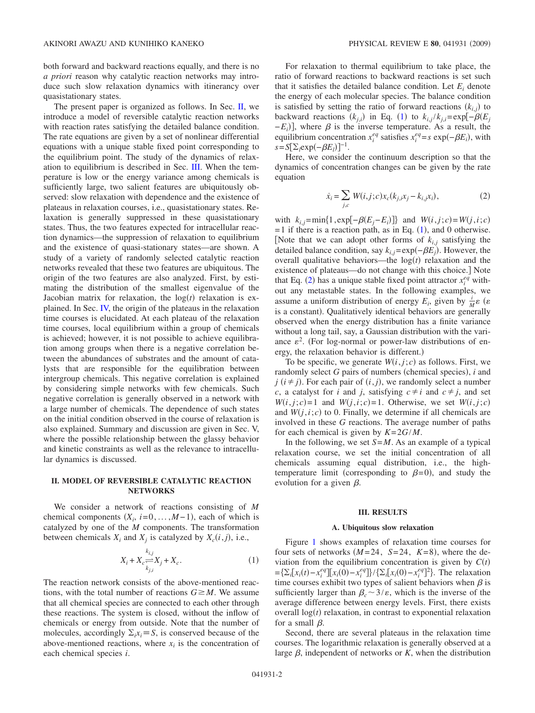both forward and backward reactions equally, and there is no *a priori* reason why catalytic reaction networks may introduce such slow relaxation dynamics with itinerancy over quasistationary states.

The present paper is organized as follows. In Sec.  $II$ , we introduce a model of reversible catalytic reaction networks with reaction rates satisfying the detailed balance condition. The rate equations are given by a set of nonlinear differential equations with a unique stable fixed point corresponding to the equilibrium point. The study of the dynamics of relaxation to equilibrium is described in Sec. [III.](#page-1-1) When the temperature is low or the energy variance among chemicals is sufficiently large, two salient features are ubiquitously observed: slow relaxation with dependence and the existence of plateaus in relaxation courses, i.e., quasistationary states. Relaxation is generally suppressed in these quasistationary states. Thus, the two features expected for intracellular reaction dynamics—the suppression of relaxation to equilibrium and the existence of quasi-stationary states—are shown. A study of a variety of randomly selected catalytic reaction networks revealed that these two features are ubiquitous. The origin of the two features are also analyzed. First, by estimating the distribution of the smallest eigenvalue of the Jacobian matrix for relaxation, the  $log(t)$  relaxation is explained. In Sec. [IV,](#page-4-0) the origin of the plateaus in the relaxation time courses is elucidated. At each plateau of the relaxation time courses, local equilibrium within a group of chemicals is achieved; however, it is not possible to achieve equilibration among groups when there is a negative correlation between the abundances of substrates and the amount of catalysts that are responsible for the equilibration between intergroup chemicals. This negative correlation is explained by considering simple networks with few chemicals. Such negative correlation is generally observed in a network with a large number of chemicals. The dependence of such states on the initial condition observed in the course of relaxation is also explained. Summary and discussion are given in Sec. V, where the possible relationship between the glassy behavior and kinetic constraints as well as the relevance to intracellular dynamics is discussed.

## <span id="page-1-0"></span>**II. MODEL OF REVERSIBLE CATALYTIC REACTION NETWORKS**

We consider a network of reactions consisting of *M* chemical components  $(X_i, i=0, \ldots, M-1)$ , each of which is catalyzed by one of the *M* components. The transformation between chemicals  $X_i$  and  $X_j$  is catalyzed by  $X_c(i, j)$ , i.e.,

$$
X_i + X_c \underset{k_{j,i}}{\underset{k}{\rightleftharpoons}} X_j + X_c. \tag{1}
$$

<span id="page-1-2"></span>The reaction network consists of the above-mentioned reactions, with the total number of reactions  $G \geq M$ . We assume that all chemical species are connected to each other through these reactions. The system is closed, without the inflow of chemicals or energy from outside. Note that the number of molecules, accordingly  $\Sigma_i x_i \equiv S$ , is conserved because of the above-mentioned reactions, where  $x_i$  is the concentration of each chemical species *i*.

For relaxation to thermal equilibrium to take place, the ratio of forward reactions to backward reactions is set such that it satisfies the detailed balance condition. Let  $E_i$  denote the energy of each molecular species. The balance condition is satisfied by setting the ratio of forward reactions  $(k_{i,j})$  to backward reactions  $(k_{j,i})$  in Eq. ([1](#page-1-2)) to  $k_{i,j}/k_{j,i} = \exp[-\beta(E_j)]$  $-E_i$ ), where  $\beta$  is the inverse temperature. As a result, the equilibrium concentration  $x_i^{eq}$  satisfies  $x_i^{eq} = s \exp(-\beta E_i)$ , with  $s = S[\Sigma_l \exp(-\beta E_l)]^{-1}.$ 

Here, we consider the continuum description so that the dynamics of concentration changes can be given by the rate equation

$$
\dot{x}_i = \sum_{j,c} W(i,j;c)x_c(k_{j,i}x_j - k_{i,j}x_i),
$$
\n(2)

<span id="page-1-3"></span> $\text{with } k_{i,j} = \min\{1, \exp[-\beta(E_j - E_i)]\} \text{ and } W(i,j;c) = W(j,i;c)$  $= 1$  $= 1$  if there is a reaction path, as in Eq. (1), and 0 otherwise. [Note that we can adopt other forms of  $k_{i,j}$  satisfying the detailed balance condition, say *ki*,*j*=exp−*Ej*-. However, the overall qualitative behaviors—the  $log(t)$  relaxation and the existence of plateaus—do not change with this choice.] Note that Eq. ([2](#page-1-3)) has a unique stable fixed point attractor  $x_i^{eq}$  without any metastable states. In the following examples, we assume a uniform distribution of energy  $E_i$ , given by  $\frac{i}{M}\varepsilon$  ( $\varepsilon$ is a constant). Qualitatively identical behaviors are generally observed when the energy distribution has a finite variance without a long tail, say, a Gaussian distribution with the variance  $\varepsilon^2$ . (For log-normal or power-law distributions of energy, the relaxation behavior is different.)

To be specific, we generate  $W(i, j; c)$  as follows. First, we randomly select G pairs of numbers (chemical species), *i* and *j*  $(i \neq j)$ . For each pair of  $(i, j)$ , we randomly select a number *c*, a catalyst for *i* and *j*, satisfying  $c \neq i$  and  $c \neq j$ , and set  $W(i, j; c) = 1$  and  $W(j, i; c) = 1$ . Otherwise, we set  $W(i, j; c)$ and  $W(j, i; c)$  to 0. Finally, we determine if all chemicals are involved in these *G* reactions. The average number of paths for each chemical is given by *K*= 2*G*/*M*.

In the following, we set *S*=*M*. As an example of a typical relaxation course, we set the initial concentration of all chemicals assuming equal distribution, i.e., the hightemperature limit (corresponding to  $\beta = 0$ ), and study the evolution for a given  $\beta$ .

#### **III. RESULTS**

#### **A. Ubiquitous slow relaxation**

<span id="page-1-1"></span>Figure [1](#page-2-0) shows examples of relaxation time courses for four sets of networks  $(M=24, S=24, K=8)$ , where the deviation from the equilibrium concentration is given by  $C(t)$  $=\sum_{i} [x_i(t) - x_i^{eq}][x_i(0) - x_i^{eq}] \} / \sum_{i} [x_i(0) - x_i^{eq}]^2$ . The relaxation time courses exhibit two types of salient behaviors when  $\beta$  is sufficiently larger than  $\beta_c \sim 3/\varepsilon$ , which is the inverse of the average difference between energy levels. First, there exists overall  $log(t)$  relaxation, in contrast to exponential relaxation for a small  $\beta$ .

Second, there are several plateaus in the relaxation time courses. The logarithmic relaxation is generally observed at a large  $\beta$ , independent of networks or  $K$ , when the distribution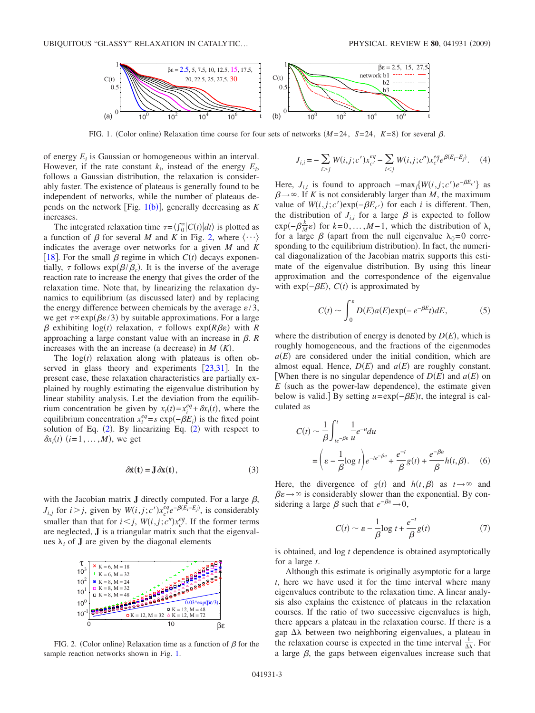<span id="page-2-0"></span>

FIG. 1. (Color online) Relaxation time course for four sets of networks  $(M=24, S=24, K=8)$  for several  $\beta$ .

of energy *Ei* is Gaussian or homogeneous within an interval. However, if the rate constant  $k_i$ , instead of the energy  $E_i$ , follows a Gaussian distribution, the relaxation is considerably faster. The existence of plateaus is generally found to be independent of networks, while the number of plateaus depends on the network [Fig.  $1(b)$  $1(b)$ ], generally decreasing as *K* increases.

The integrated relaxation time  $\tau = \langle \int_0^\infty |C(t)| dt \rangle$  is plotted as a function of  $\beta$  for several *M* and *K* in Fig. [2,](#page-2-1) where  $\langle \cdots \rangle$ indicates the average over networks for a given *M* and *K* [[18](#page-6-4)]. For the small  $\beta$  regime in which  $C(t)$  decays exponentially,  $\tau$  follows  $\exp(\beta/\beta_c)$ . It is the inverse of the average reaction rate to increase the energy that gives the order of the relaxation time. Note that, by linearizing the relaxation dynamics to equilibrium (as discussed later) and by replacing the energy difference between chemicals by the average  $\varepsilon/3$ , we get  $\tau \propto \exp(\beta \varepsilon/3)$  by suitable approximations. For a large  $\beta$  exhibiting log(*t*) relaxation,  $\tau$  follows exp( $R\beta\varepsilon$ ) with *R* approaching a large constant value with an increase in  $\beta$ .  $R$ increases with the an increase (a decrease) in  $M(K)$ .

The  $log(t)$  relaxation along with plateaus is often observed in glass theory and experiments  $[23,31]$  $[23,31]$  $[23,31]$  $[23,31]$ . In the present case, these relaxation characteristics are partially explained by roughly estimating the eigenvalue distribution by linear stability analysis. Let the deviation from the equilibrium concentration be given by  $x_i(t) = x_i^{eq} + \delta x_i(t)$ , where the equilibrium concentration  $x_i^{eq} = s \exp(-\beta E_i)$  is the fixed point solution of Eq.  $(2)$  $(2)$  $(2)$ . By linearizing Eq.  $(2)$  with respect to  $\delta x_i(t)$  (*i*=1,...,*M*), we get

$$
\delta \dot{\mathbf{x}}(\mathbf{t}) = \mathbf{J} \, \delta \mathbf{x}(\mathbf{t}),\tag{3}
$$

with the Jacobian matrix **J** directly computed. For a large  $\beta$ , *J<sub>i,j</sub>* for *i* > *j*, given by *W*(*i*, *j*;*c*<sup>*'*</sup>) $e^{i}e^{-\beta(E_i-E_j)}$ , is considerably smaller than that for  $i < j$ ,  $W(i, j; c'')x_{c'}^{eq}$ . If the former terms are neglected, **J** is a triangular matrix such that the eigenvalues  $\lambda_i$  of **J** are given by the diagonal elements

<span id="page-2-1"></span>

FIG. 2. (Color online) Relaxation time as a function of  $\beta$  for the sample reaction networks shown in Fig. [1.](#page-2-0)

$$
J_{i,i} = -\sum_{i > j} W(i,j;c') x_{c'}^{eq} - \sum_{i < j} W(i,j;c'') x_{c'}^{eq} e^{\beta (E_i - E_j)}.
$$
 (4)

Here,  $J_{i,i}$  is found to approach  $-\max_j \{W(i,j;c')e^{-\beta E_c}\}\)$  as  $\beta \rightarrow \infty$ . If *K* is not considerably larger than *M*, the maximum value of  $W(i, j; c')$ exp $(-\beta E_{c'})$  for each *i* is different. Then, the distribution of  $J_{i,i}$  for a large  $\beta$  is expected to follow  $\exp(-\beta \frac{k}{M}\varepsilon)$  for  $k=0,\ldots,M-1$ , which the distribution of  $\lambda_i$ for a large  $\beta$  (apart from the null eigenvalue  $\lambda_0=0$  corresponding to the equilibrium distribution). In fact, the numerical diagonalization of the Jacobian matrix supports this estimate of the eigenvalue distribution. By using this linear approximation and the correspondence of the eigenvalue with exp $(−βE)$ ,  $C(t)$  is approximated by

$$
C(t) \sim \int_0^{\varepsilon} D(E)a(E) \exp(-e^{-\beta E}t) dE, \tag{5}
$$

where the distribution of energy is denoted by  $D(E)$ , which is roughly homogeneous, and the fractions of the eigenmodes  $a(E)$  are considered under the initial condition, which are almost equal. Hence,  $D(E)$  and  $a(E)$  are roughly constant. [When there is no singular dependence of  $D(E)$  and  $a(E)$  on  $E$  (such as the power-law dependence), the estimate given below is valid.] By setting  $u = \exp(-\beta E)t$ , the integral is calculated as

$$
C(t) \sim \frac{1}{\beta} \int_{te^{-\beta \varepsilon}}^{t} \frac{1}{u} e^{-u} du
$$
  
=  $\left(\varepsilon - \frac{1}{\beta} \log t\right) e^{-te^{-\beta \varepsilon}} + \frac{e^{-t}}{\beta} g(t) + \frac{e^{-\beta \varepsilon}}{\beta} h(t, \beta).$  (6)

Here, the divergence of  $g(t)$  and  $h(t, \beta)$  as  $t \rightarrow \infty$  and  $\beta \varepsilon \rightarrow \infty$  is considerably slower than the exponential. By considering a large  $\beta$  such that  $e^{-\beta \varepsilon} \to 0$ ,

$$
C(t) \sim \varepsilon - \frac{1}{\beta} \log t + \frac{e^{-t}}{\beta} g(t) \tag{7}
$$

is obtained, and log *t* dependence is obtained asymptotically for a large *t*.

Although this estimate is originally asymptotic for a large *t*, here we have used it for the time interval where many eigenvalues contribute to the relaxation time. A linear analysis also explains the existence of plateaus in the relaxation courses. If the ratio of two successive eigenvalues is high, there appears a plateau in the relaxation course. If there is a gap  $\Delta\lambda$  between two neighboring eigenvalues, a plateau in the relaxation course is expected in the time interval  $\frac{1}{\Delta \lambda}$ . For a large  $\beta$ , the gaps between eigenvalues increase such that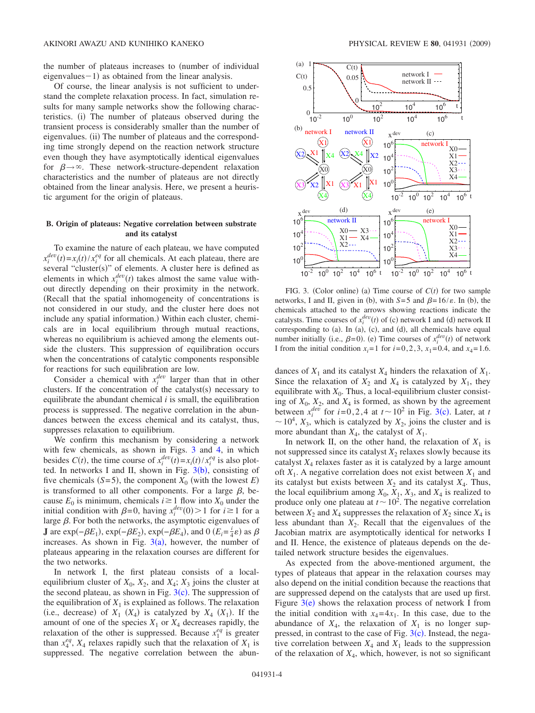the number of plateaus increases to (number of individual eigenvalues $-1$ ) as obtained from the linear analysis.

Of course, the linear analysis is not sufficient to understand the complete relaxation process. In fact, simulation results for many sample networks show the following characteristics. (i) The number of plateaus observed during the transient process is considerably smaller than the number of eigenvalues. (ii) The number of plateaus and the corresponding time strongly depend on the reaction network structure even though they have asymptotically identical eigenvalues for  $\beta \rightarrow \infty$ . These network-structure-dependent relaxation characteristics and the number of plateaus are not directly obtained from the linear analysis. Here, we present a heuristic argument for the origin of plateaus.

## **B. Origin of plateaus: Negative correlation between substrate and its catalyst**

To examine the nature of each plateau, we have computed  $x_i^{dev}(t) = x_i(t)/x_i^{eq}$  for all chemicals. At each plateau, there are several "cluster(s)" of elements. A cluster here is defined as elements in which  $x_i^{dev}(t)$  takes almost the same value without directly depending on their proximity in the network. Recall that the spatial inhomogeneity of concentrations is not considered in our study, and the cluster here does not include any spatial information.) Within each cluster, chemicals are in local equilibrium through mutual reactions, whereas no equilibrium is achieved among the elements outside the clusters. This suppression of equilibration occurs when the concentrations of catalytic components responsible for reactions for such equilibration are low.

Consider a chemical with  $x_i^{dev}$  larger than that in other clusters. If the concentration of the catalyst $(s)$  necessary to equilibrate the abundant chemical *i* is small, the equilibration process is suppressed. The negative correlation in the abundances between the excess chemical and its catalyst, thus, suppresses relaxation to equilibrium.

We confirm this mechanism by considering a network with few chemicals, as shown in Figs. [3](#page-3-0) and [4,](#page-4-1) in which besides *C*(*t*), the time course of  $x_i^{dev}(t) = x_i(t)/x_i^{eq}$  is also plotted. In networks I and II, shown in Fig.  $3(b)$  $3(b)$ , consisting of five chemicals  $(S=5)$ , the component  $X_0$  (with the lowest *E*) is transformed to all other components. For a large  $\beta$ , because  $E_0$  is minimum, chemicals  $i \ge 1$  flow into  $X_0$  under the initial condition with  $\beta = 0$ , having  $x_i^{dev}(0) > 1$  for  $i \ge 1$  for a large  $\beta$ . For both the networks, the asymptotic eigenvalues of **J** are exp( $-\beta E_1$ ), exp( $-\beta E_2$ ), exp( $-\beta E_4$ ), and 0 ( $E_i = \frac{i}{4} \varepsilon$ ) as  $\beta$ increases. As shown in Fig.  $3(a)$  $3(a)$ , however, the number of plateaus appearing in the relaxation courses are different for the two networks.

In network I, the first plateau consists of a localequilibrium cluster of  $X_0$ ,  $X_2$ , and  $X_4$ ;  $X_3$  joins the cluster at the second plateau, as shown in Fig.  $3(c)$  $3(c)$ . The suppression of the equilibration of  $X_1$  is explained as follows. The relaxation  $(i.e., decrease)$  of  $X_1$   $(X_4)$  is catalyzed by  $X_4$   $(X_1)$ . If the amount of one of the species  $X_1$  or  $X_4$  decreases rapidly, the relaxation of the other is suppressed. Because  $x_1^{eq}$  is greater than  $x_4^{eq}$ ,  $X_4$  relaxes rapidly such that the relaxation of  $X_1$  is suppressed. The negative correlation between the abun-

<span id="page-3-0"></span>

FIG. 3. (Color online) (a) Time course of  $C(t)$  for two sample networks, I and II, given in (b), with  $S=5$  and  $\beta=16/\epsilon$ . In (b), the chemicals attached to the arrows showing reactions indicate the catalysts. Time courses of  $x_i^{dev}(t)$  of (c) network I and (d) network II corresponding to (a). In (a), (c), and (d), all chemicals have equal number initially (i.e.,  $\beta = 0$ ). (e) Time courses of  $x_i^{dev}(t)$  of network I from the initial condition  $x_i = 1$  for  $i = 0, 2, 3, x_1 = 0.4$ , and  $x_4 = 1.6$ .

dances of  $X_1$  and its catalyst  $X_4$  hinders the relaxation of  $X_1$ . Since the relaxation of  $X_2$  and  $X_4$  is catalyzed by  $X_1$ , they equilibrate with  $X_0$ . Thus, a local-equilibrium cluster consisting of  $X_0$ ,  $X_2$ , and  $X_4$  is formed, as shown by the agreement between  $x_i^{dev}$  for  $i=0, 2, 4$  at  $t \sim 10^2$  in Fig. [3](#page-3-0)(c). Later, at *t*  $\sim$  10<sup>4</sup>,  $X_3$ , which is catalyzed by  $X_2$ , joins the cluster and is more abundant than  $X_4$ , the catalyst of  $X_1$ .

In network II, on the other hand, the relaxation of  $X_1$  is not suppressed since its catalyst  $X_2$  relaxes slowly because its catalyst  $X_4$  relaxes faster as it is catalyzed by a large amount oft  $X_1$ . A negative correlation does not exist between  $X_1$  and its catalyst but exists between  $X_2$  and its catalyst  $X_4$ . Thus, the local equilibrium among  $X_0$ ,  $X_1$ ,  $X_3$ , and  $X_4$  is realized to produce only one plateau at  $t \sim 10^2$ . The negative correlation between  $X_2$  and  $X_4$  suppresses the relaxation of  $X_2$  since  $X_4$  is less abundant than  $X_2$ . Recall that the eigenvalues of the Jacobian matrix are asymptotically identical for networks I and II. Hence, the existence of plateaus depends on the detailed network structure besides the eigenvalues.

As expected from the above-mentioned argument, the types of plateaus that appear in the relaxation courses may also depend on the initial condition because the reactions that are suppressed depend on the catalysts that are used up first. Figure  $3(e)$  $3(e)$  shows the relaxation process of network I from the initial condition with  $x_4 = 4x_1$ . In this case, due to the abundance of  $X_4$ , the relaxation of  $X_1$  is no longer suppressed, in contrast to the case of Fig.  $3(c)$  $3(c)$ . Instead, the negative correlation between  $X_4$  and  $X_1$  leads to the suppression of the relaxation of  $X_4$ , which, however, is not so significant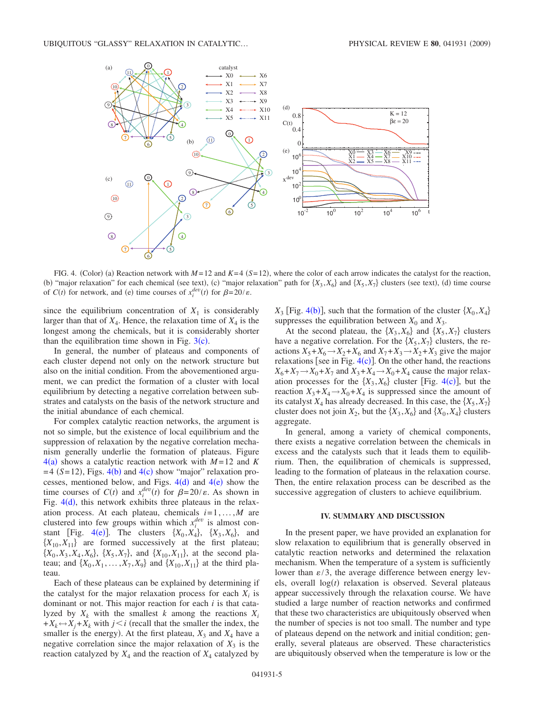<span id="page-4-1"></span>

FIG. 4. (Color) (a) Reaction network with  $M=12$  and  $K=4$  ( $S=12$ ), where the color of each arrow indicates the catalyst for the reaction, (b) "major relaxation" for each chemical (see text), (c) "major relaxation" path for  $\{X_3, X_6\}$  and  $\{X_5, X_7\}$  clusters (see text), (d) time course of  $C(t)$  for network, and (e) time courses of  $x_i^{dev}(t)$  for  $\beta = 20/\varepsilon$ .

since the equilibrium concentration of  $X_1$  is considerably larger than that of  $X_4$ . Hence, the relaxation time of  $X_4$  is the longest among the chemicals, but it is considerably shorter than the equilibration time shown in Fig.  $3(c)$  $3(c)$ .

In general, the number of plateaus and components of each cluster depend not only on the network structure but also on the initial condition. From the abovementioned argument, we can predict the formation of a cluster with local equilibrium by detecting a negative correlation between substrates and catalysts on the basis of the network structure and the initial abundance of each chemical.

For complex catalytic reaction networks, the argument is not so simple, but the existence of local equilibrium and the suppression of relaxation by the negative correlation mechanism generally underlie the formation of plateaus. Figure  $4(a)$  $4(a)$  shows a catalytic reaction network with  $M=12$  and K  $=$  [4](#page-4-1) (*S* = 12), Figs. 4(b) and 4(c) show "major" relaxation processes, mentioned below, and Figs.  $4(d)$  $4(d)$  and  $4(e)$  show the time courses of  $C(t)$  and  $x_i^{dev}(t)$  for  $\beta = 20/\varepsilon$ . As shown in Fig.  $4(d)$  $4(d)$ , this network exhibits three plateaus in the relaxation process. At each plateau, chemicals *i*=1,...,*M* are clustered into few groups within which  $x_i^{dev}$  is almost con-stant [Fig. [4](#page-4-1)(e)]. The clusters  $\{X_0, X_4\}$ ,  $\{X_3, X_6\}$ , and  ${X_{10}, X_{11}}$  are formed successively at the first plateau;  $\{X_0, X_3, X_4, X_6\}, \{X_5, X_7\}, \text{ and } \{X_{10}, X_{11}\}, \text{ at the second pla-}$ teau; and  $\{X_0, X_1, \ldots, X_7, X_9\}$  and  $\{X_{10}, X_{11}\}$  at the third plateau.

Each of these plateaus can be explained by determining if the catalyst for the major relaxation process for each  $X_i$  is dominant or not. This major reaction for each *i* is that catalyzed by  $X_k$  with the smallest  $k$  among the reactions  $X_i$  $+X_k \leftrightarrow X_j + X_k$  with  $j \leq i$  (recall that the smaller the index, the smaller is the energy). At the first plateau,  $X_3$  and  $X_4$  have a negative correlation since the major relaxation of  $X_3$  is the reaction catalyzed by  $X_4$  and the reaction of  $X_4$  catalyzed by

 $X_3$  [Fig. [4](#page-4-1)(b)], such that the formation of the cluster  $\{X_0, X_4\}$ suppresses the equilibration between  $X_0$  and  $X_3$ .

At the second plateau, the  $\{X_3, X_6\}$  and  $\{X_5, X_7\}$  clusters have a negative correlation. For the  $\{X_5, X_7\}$  clusters, the reactions  $X_5 + X_6 \rightarrow X_2 + X_6$  and  $X_7 + X_3 \rightarrow X_2 + X_3$  give the major relaxations [see in Fig.  $4(c)$  $4(c)$ ]. On the other hand, the reactions  $X_6 + X_7 \rightarrow X_0 + X_7$  and  $X_3 + X_4 \rightarrow X_0 + X_4$  cause the major relaxation processes for the  $\{X_3, X_6\}$  cluster [Fig. [4](#page-4-1)(c)], but the reaction  $X_3 + X_4 \rightarrow X_0 + X_4$  is suppressed since the amount of its catalyst  $X_4$  has already decreased. In this case, the  $\{X_5, X_7\}$ cluster does not join  $X_2$ , but the  $\{X_3, X_6\}$  and  $\{X_0, X_4\}$  clusters aggregate.

In general, among a variety of chemical components, there exists a negative correlation between the chemicals in excess and the catalysts such that it leads them to equilibrium. Then, the equilibration of chemicals is suppressed, leading to the formation of plateaus in the relaxation course. Then, the entire relaxation process can be described as the successive aggregation of clusters to achieve equilibrium.

### **IV. SUMMARY AND DISCUSSION**

<span id="page-4-0"></span>In the present paper, we have provided an explanation for slow relaxation to equilibrium that is generally observed in catalytic reaction networks and determined the relaxation mechanism. When the temperature of a system is sufficiently lower than  $\varepsilon/3$ , the average difference between energy levels, overall  $log(t)$  relaxation is observed. Several plateaus appear successively through the relaxation course. We have studied a large number of reaction networks and confirmed that these two characteristics are ubiquitously observed when the number of species is not too small. The number and type of plateaus depend on the network and initial condition; generally, several plateaus are observed. These characteristics are ubiquitously observed when the temperature is low or the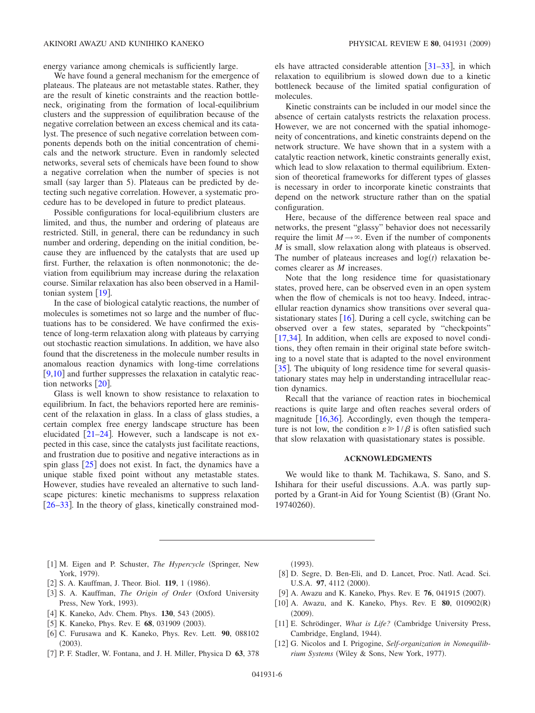energy variance among chemicals is sufficiently large.

We have found a general mechanism for the emergence of plateaus. The plateaus are not metastable states. Rather, they are the result of kinetic constraints and the reaction bottleneck, originating from the formation of local-equilibrium clusters and the suppression of equilibration because of the negative correlation between an excess chemical and its catalyst. The presence of such negative correlation between components depends both on the initial concentration of chemicals and the network structure. Even in randomly selected networks, several sets of chemicals have been found to show a negative correlation when the number of species is not small (say larger than 5). Plateaus can be predicted by detecting such negative correlation. However, a systematic procedure has to be developed in future to predict plateaus.

Possible configurations for local-equilibrium clusters are limited, and thus, the number and ordering of plateaus are restricted. Still, in general, there can be redundancy in such number and ordering, depending on the initial condition, because they are influenced by the catalysts that are used up first. Further, the relaxation is often nonmonotonic; the deviation from equilibrium may increase during the relaxation course. Similar relaxation has also been observed in a Hamiltonian system  $\lceil 19 \rceil$  $\lceil 19 \rceil$  $\lceil 19 \rceil$ .

In the case of biological catalytic reactions, the number of molecules is sometimes not so large and the number of fluctuations has to be considered. We have confirmed the existence of long-term relaxation along with plateaus by carrying out stochastic reaction simulations. In addition, we have also found that the discreteness in the molecule number results in anomalous reaction dynamics with long-time correlations  $[9,10]$  $[9,10]$  $[9,10]$  $[9,10]$  and further suppresses the relaxation in catalytic reaction networks  $\lceil 20 \rceil$  $\lceil 20 \rceil$  $\lceil 20 \rceil$ .

Glass is well known to show resistance to relaxation to equilibrium. In fact, the behaviors reported here are reminiscent of the relaxation in glass. In a class of glass studies, a certain complex free energy landscape structure has been elucidated  $\lceil 21-24 \rceil$  $\lceil 21-24 \rceil$  $\lceil 21-24 \rceil$ . However, such a landscape is not expected in this case, since the catalysts just facilitate reactions, and frustration due to positive and negative interactions as in spin glass  $[25]$  $[25]$  $[25]$  does not exist. In fact, the dynamics have a unique stable fixed point without any metastable states. However, studies have revealed an alternative to such landscape pictures: kinetic mechanisms to suppress relaxation [[26](#page-6-12)[–33](#page-6-13)]. In the theory of glass, kinetically constrained models have attracted considerable attention  $[31-33]$  $[31-33]$  $[31-33]$ , in which relaxation to equilibrium is slowed down due to a kinetic bottleneck because of the limited spatial configuration of molecules.

Kinetic constraints can be included in our model since the absence of certain catalysts restricts the relaxation process. However, we are not concerned with the spatial inhomogeneity of concentrations, and kinetic constraints depend on the network structure. We have shown that in a system with a catalytic reaction network, kinetic constraints generally exist, which lead to slow relaxation to thermal equilibrium. Extension of theoretical frameworks for different types of glasses is necessary in order to incorporate kinetic constraints that depend on the network structure rather than on the spatial configuration.

Here, because of the difference between real space and networks, the present "glassy" behavior does not necessarily require the limit  $M \rightarrow \infty$ . Even if the number of components *M* is small, slow relaxation along with plateaus is observed. The number of plateaus increases and  $log(t)$  relaxation becomes clearer as *M* increases.

Note that the long residence time for quasistationary states, proved here, can be observed even in an open system when the flow of chemicals is not too heavy. Indeed, intracellular reaction dynamics show transitions over several quasistationary states  $[16]$  $[16]$  $[16]$ . During a cell cycle, switching can be observed over a few states, separated by "checkpoints"  $[17,34]$  $[17,34]$  $[17,34]$  $[17,34]$ . In addition, when cells are exposed to novel conditions, they often remain in their original state before switching to a novel state that is adapted to the novel environment [[35](#page-6-15)]. The ubiquity of long residence time for several quasistationary states may help in understanding intracellular reaction dynamics.

Recall that the variance of reaction rates in biochemical reactions is quite large and often reaches several orders of magnitude  $[16,36]$  $[16,36]$  $[16,36]$  $[16,36]$ . Accordingly, even though the temperature is not low, the condition  $\varepsilon \geq 1/\beta$  is often satisfied such that slow relaxation with quasistationary states is possible.

### **ACKNOWLEDGMENTS**

We would like to thank M. Tachikawa, S. Sano, and S. Ishihara for their useful discussions. A.A. was partly supported by a Grant-in Aid for Young Scientist (B) (Grant No. 19740260).

- <span id="page-5-0"></span>[1] M. Eigen and P. Schuster, *The Hypercycle* (Springer, New York, 1979).
- [2] S. A. Kauffman, J. Theor. Biol. 119, 1 (1986).
- <span id="page-5-4"></span>[3] S. A. Kauffman, *The Origin of Order* (Oxford University Press, New York, 1993).
- <span id="page-5-7"></span>[4] K. Kaneko, Adv. Chem. Phys. 130, 543 (2005).
- <span id="page-5-8"></span>[5] K. Kaneko, Phys. Rev. E 68, 031909 (2003).
- <span id="page-5-10"></span>6 C. Furusawa and K. Kaneko, Phys. Rev. Lett. **90**, 088102  $(2003).$
- <span id="page-5-5"></span>7 P. F. Stadler, W. Fontana, and J. H. Miller, Physica D **63**, 378

 $(1993).$ 

- <span id="page-5-6"></span>[8] D. Segre, D. Ben-Eli, and D. Lancet, Proc. Natl. Acad. Sci. U.S.A. 97, 4112 (2000).
- <span id="page-5-9"></span>[9] A. Awazu and K. Kaneko, Phys. Rev. E **76**, 041915 (2007).
- <span id="page-5-1"></span>[10] A. Awazu, and K. Kaneko, Phys. Rev. E **80**, 010902(R)  $(2009).$
- <span id="page-5-2"></span>11 E. Schrödinger, *What is Life?* Cambridge University Press, Cambridge, England, 1944).
- <span id="page-5-3"></span>[12] G. Nicolos and I. Prigogine, *Self-organization in Nonequilib*rium Systems (Wiley & Sons, New York, 1977).